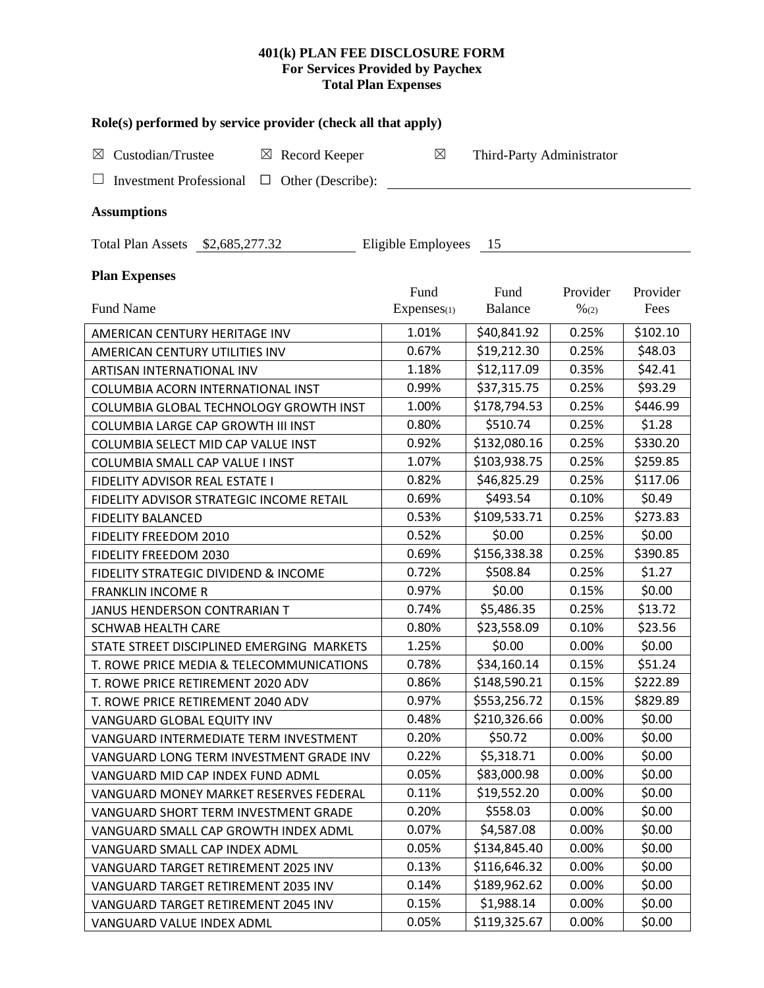# **401(k) PLAN FEE DISCLOSURE FORM For Services Provided by Paychex Total Plan Expenses**

| Role(s) performed by service provider (check all that apply) |                     |                           |                              |                  |  |  |
|--------------------------------------------------------------|---------------------|---------------------------|------------------------------|------------------|--|--|
| Custodian/Trustee<br>$\boxtimes$ Record Keeper<br>⊠          | $\boxtimes$         | Third-Party Administrator |                              |                  |  |  |
| Investment Professional $\Box$<br>Other (Describe):          |                     |                           |                              |                  |  |  |
| <b>Assumptions</b>                                           |                     |                           |                              |                  |  |  |
| Total Plan Assets \$2,685,277.32                             | Eligible Employees  | - 15                      |                              |                  |  |  |
| <b>Plan Expenses</b>                                         |                     |                           |                              |                  |  |  |
| <b>Fund Name</b>                                             | Fund<br>Expenses(1) | Fund<br>Balance           | Provider<br>$\frac{9}{6(2)}$ | Provider<br>Fees |  |  |
| AMERICAN CENTURY HERITAGE INV                                | 1.01%               | \$40,841.92               | 0.25%                        | \$102.10         |  |  |
| AMERICAN CENTURY UTILITIES INV                               | 0.67%               | \$19,212.30               | 0.25%                        | \$48.03          |  |  |
| ARTISAN INTERNATIONAL INV                                    | 1.18%               | \$12,117.09               | 0.35%                        | \$42.41          |  |  |
| COLUMBIA ACORN INTERNATIONAL INST                            | 0.99%               | \$37,315.75               | 0.25%                        | \$93.29          |  |  |
| COLUMBIA GLOBAL TECHNOLOGY GROWTH INST                       | 1.00%               | \$178,794.53              | 0.25%                        | \$446.99         |  |  |
| COLUMBIA LARGE CAP GROWTH III INST                           | 0.80%               | \$510.74                  | 0.25%                        | \$1.28           |  |  |
| COLUMBIA SELECT MID CAP VALUE INST                           | 0.92%               | \$132,080.16              | 0.25%                        | \$330.20         |  |  |
| COLUMBIA SMALL CAP VALUE I INST                              | 1.07%               | \$103,938.75              | 0.25%                        | \$259.85         |  |  |
| FIDELITY ADVISOR REAL ESTATE I                               | 0.82%               | \$46,825.29               | 0.25%                        | \$117.06         |  |  |
| FIDELITY ADVISOR STRATEGIC INCOME RETAIL                     | 0.69%               | \$493.54                  | 0.10%                        | \$0.49           |  |  |
| <b>FIDELITY BALANCED</b>                                     | 0.53%               | \$109,533.71              | 0.25%                        | \$273.83         |  |  |
| FIDELITY FREEDOM 2010                                        | 0.52%               | \$0.00                    | 0.25%                        | \$0.00           |  |  |
| FIDELITY FREEDOM 2030                                        | 0.69%               | \$156,338.38              | 0.25%                        | \$390.85         |  |  |
| FIDELITY STRATEGIC DIVIDEND & INCOME                         | 0.72%               | \$508.84                  | 0.25%                        | \$1.27           |  |  |
| <b>FRANKLIN INCOME R</b>                                     | 0.97%               | \$0.00                    | 0.15%                        | \$0.00           |  |  |
| JANUS HENDERSON CONTRARIAN T                                 | 0.74%               | \$5,486.35                | 0.25%                        | \$13.72          |  |  |
| <b>SCHWAB HEALTH CARE</b>                                    | 0.80%               | \$23,558.09               | 0.10%                        | \$23.56          |  |  |
| STATE STREET DISCIPLINED EMERGING MARKETS                    | 1.25%               | \$0.00                    | 0.00%                        | \$0.00           |  |  |
| T. ROWE PRICE MEDIA & TELECOMMUNICATIONS                     | 0.78%               | \$34,160.14               | 0.15%                        | \$51.24          |  |  |
| T. ROWE PRICE RETIREMENT 2020 ADV                            | 0.86%               | \$148,590.21              | 0.15%                        | \$222.89         |  |  |
| T. ROWE PRICE RETIREMENT 2040 ADV                            | 0.97%               | \$553,256.72              | 0.15%                        | \$829.89         |  |  |
| VANGUARD GLOBAL EQUITY INV                                   | 0.48%               | \$210,326.66              | 0.00%                        | \$0.00           |  |  |
| VANGUARD INTERMEDIATE TERM INVESTMENT                        | 0.20%               | \$50.72                   | 0.00%                        | \$0.00           |  |  |
| VANGUARD LONG TERM INVESTMENT GRADE INV                      | 0.22%               | \$5,318.71                | 0.00%                        | \$0.00           |  |  |
| VANGUARD MID CAP INDEX FUND ADML                             | 0.05%               | \$83,000.98               | 0.00%                        | \$0.00           |  |  |
| VANGUARD MONEY MARKET RESERVES FEDERAL                       | 0.11%               | \$19,552.20               | 0.00%                        | \$0.00           |  |  |
| VANGUARD SHORT TERM INVESTMENT GRADE                         | 0.20%               | \$558.03                  | 0.00%                        | \$0.00           |  |  |
| VANGUARD SMALL CAP GROWTH INDEX ADML                         | 0.07%               | \$4,587.08                | 0.00%                        | \$0.00           |  |  |
| VANGUARD SMALL CAP INDEX ADML                                | 0.05%               | \$134,845.40              | 0.00%                        | \$0.00           |  |  |
| VANGUARD TARGET RETIREMENT 2025 INV                          | 0.13%               | \$116,646.32              | 0.00%                        | \$0.00           |  |  |
| VANGUARD TARGET RETIREMENT 2035 INV                          | 0.14%               | \$189,962.62              | 0.00%                        | \$0.00           |  |  |
| VANGUARD TARGET RETIREMENT 2045 INV                          | 0.15%               | \$1,988.14                | 0.00%                        | \$0.00           |  |  |
| VANGUARD VALUE INDEX ADML                                    | 0.05%               | \$119,325.67              | 0.00%                        | \$0.00           |  |  |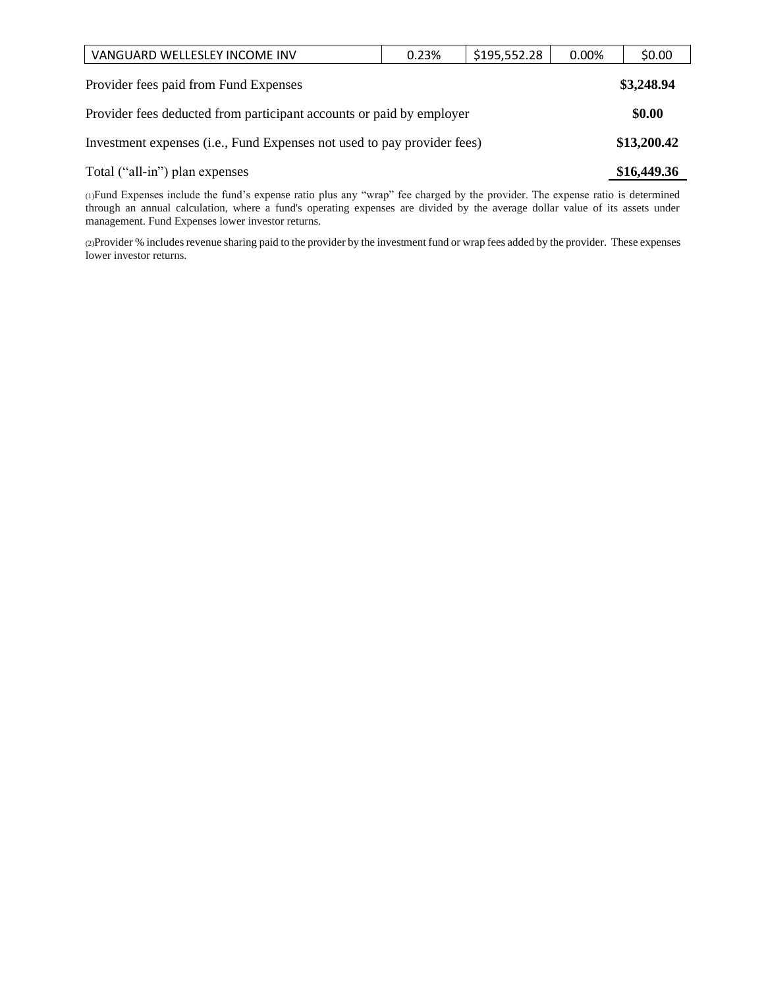| VANGUARD WELLESLEY INCOME INV                                           | 0.23% | \$195,552.28 | 0.00% | \$0.00      |
|-------------------------------------------------------------------------|-------|--------------|-------|-------------|
| Provider fees paid from Fund Expenses                                   |       |              |       | \$3,248.94  |
| Provider fees deducted from participant accounts or paid by employer    |       |              |       |             |
| Investment expenses (i.e., Fund Expenses not used to pay provider fees) |       |              |       | \$13,200.42 |
| Total ("all-in") plan expenses                                          |       |              |       | \$16,449.36 |

(1)Fund Expenses include the fund's expense ratio plus any "wrap" fee charged by the provider. The expense ratio is determined through an annual calculation, where a fund's operating expenses are divided by the average dollar value of its assets under management. Fund Expenses lower investor returns.

(2)Provider % includes revenue sharing paid to the provider by the investment fund or wrap fees added by the provider. These expenses lower investor returns.